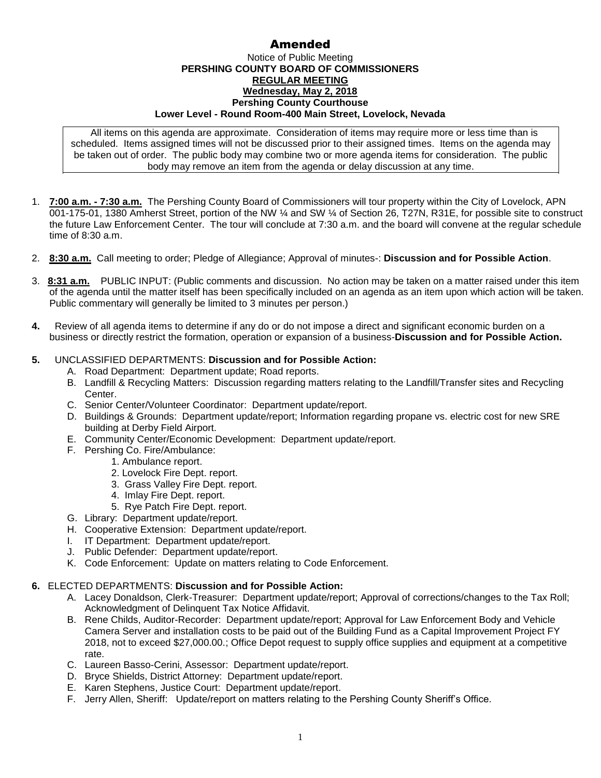## Amended

## Notice of Public Meeting **PERSHING COUNTY BOARD OF COMMISSIONERS REGULAR MEETING Wednesday, May 2, 2018 Pershing County Courthouse Lower Level - Round Room-400 Main Street, Lovelock, Nevada**

All items on this agenda are approximate. Consideration of items may require more or less time than is scheduled. Items assigned times will not be discussed prior to their assigned times. Items on the agenda may be taken out of order. The public body may combine two or more agenda items for consideration. The public body may remove an item from the agenda or delay discussion at any time.

- 1. **7:00 a.m. - 7:30 a.m.** The Pershing County Board of Commissioners will tour property within the City of Lovelock, APN 001-175-01, 1380 Amherst Street, portion of the NW ¼ and SW ¼ of Section 26, T27N, R31E, for possible site to construct the future Law Enforcement Center. The tour will conclude at 7:30 a.m. and the board will convene at the regular schedule time of 8:30 a.m.
- 2. **8:30 a.m.** Call meeting to order; Pledge of Allegiance; Approval of minutes-: **Discussion and for Possible Action**.
- 3. **8:31 a.m.** PUBLIC INPUT: (Public comments and discussion. No action may be taken on a matter raised under this item of the agenda until the matter itself has been specifically included on an agenda as an item upon which action will be taken. Public commentary will generally be limited to 3 minutes per person.)
- **4.** Review of all agenda items to determine if any do or do not impose a direct and significant economic burden on a business or directly restrict the formation, operation or expansion of a business-**Discussion and for Possible Action.**

## **5.** UNCLASSIFIED DEPARTMENTS: **Discussion and for Possible Action:**

- A. Road Department: Department update; Road reports.
- B. Landfill & Recycling Matters: Discussion regarding matters relating to the Landfill/Transfer sites and Recycling Center.
- C. Senior Center/Volunteer Coordinator: Department update/report.
- D. Buildings & Grounds: Department update/report; Information regarding propane vs. electric cost for new SRE building at Derby Field Airport.
- E. Community Center/Economic Development: Department update/report.
- F. Pershing Co. Fire/Ambulance:
	- 1. Ambulance report.
		- 2. Lovelock Fire Dept. report.
		- 3. Grass Valley Fire Dept. report.
		- 4. Imlay Fire Dept. report.
		- 5. Rye Patch Fire Dept. report.
- G. Library: Department update/report.
- H. Cooperative Extension: Department update/report.
- I. IT Department: Department update/report.
- J. Public Defender: Department update/report.
- K. Code Enforcement: Update on matters relating to Code Enforcement.

## **6.** ELECTED DEPARTMENTS: **Discussion and for Possible Action:**

- A. Lacey Donaldson, Clerk-Treasurer: Department update/report; Approval of corrections/changes to the Tax Roll; Acknowledgment of Delinquent Tax Notice Affidavit.
- B. Rene Childs, Auditor-Recorder: Department update/report; Approval for Law Enforcement Body and Vehicle Camera Server and installation costs to be paid out of the Building Fund as a Capital Improvement Project FY 2018, not to exceed \$27,000.00.; Office Depot request to supply office supplies and equipment at a competitive rate.
- C. Laureen Basso-Cerini, Assessor: Department update/report.
- D. Bryce Shields, District Attorney: Department update/report.
- E. Karen Stephens, Justice Court: Department update/report.
- F. Jerry Allen, Sheriff: Update/report on matters relating to the Pershing County Sheriff's Office.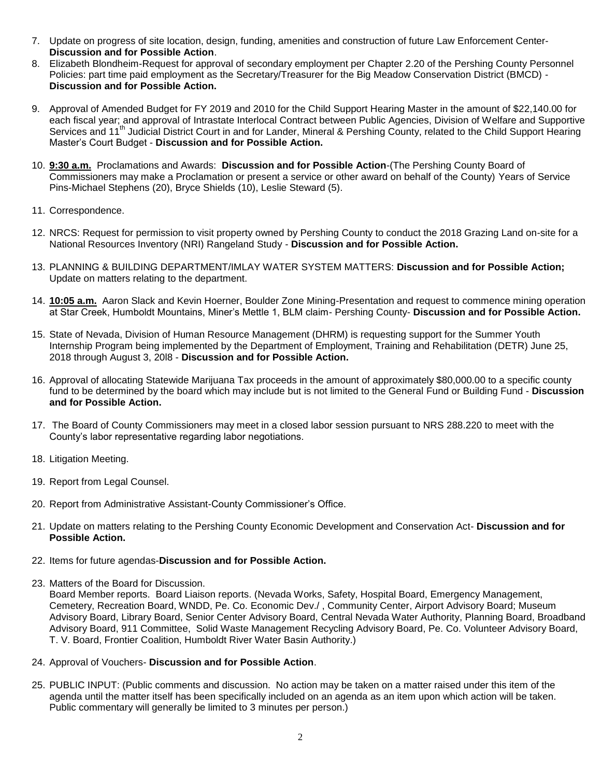- 7. Update on progress of site location, design, funding, amenities and construction of future Law Enforcement Center-**Discussion and for Possible Action**.
- 8. Elizabeth Blondheim-Request for approval of secondary employment per Chapter 2.20 of the Pershing County Personnel Policies: part time paid employment as the Secretary/Treasurer for the Big Meadow Conservation District (BMCD) - **Discussion and for Possible Action.**
- 9. Approval of Amended Budget for FY 2019 and 2010 for the Child Support Hearing Master in the amount of \$22,140.00 for each fiscal year; and approval of Intrastate Interlocal Contract between Public Agencies, Division of Welfare and Supportive Services and 11<sup>th</sup> Judicial District Court in and for Lander, Mineral & Pershing County, related to the Child Support Hearing Master's Court Budget - **Discussion and for Possible Action.**
- 10. **9:30 a.m.** Proclamations and Awards: **Discussion and for Possible Action**-(The Pershing County Board of Commissioners may make a Proclamation or present a service or other award on behalf of the County) Years of Service Pins-Michael Stephens (20), Bryce Shields (10), Leslie Steward (5).
- 11. Correspondence.
- 12. NRCS: Request for permission to visit property owned by Pershing County to conduct the 2018 Grazing Land on-site for a National Resources Inventory (NRI) Rangeland Study - **Discussion and for Possible Action.**
- 13. PLANNING & BUILDING DEPARTMENT/IMLAY WATER SYSTEM MATTERS: **Discussion and for Possible Action;**  Update on matters relating to the department.
- 14. **10:05 a.m.** Aaron Slack and Kevin Hoerner, Boulder Zone Mining-Presentation and request to commence mining operation at Star Creek, Humboldt Mountains, Miner's Mettle 1, BLM claim- Pershing County- **Discussion and for Possible Action.**
- 15. State of Nevada, Division of Human Resource Management (DHRM) is requesting support for the Summer Youth Internship Program being implemented by the Department of Employment, Training and Rehabilitation (DETR) June 25, 2018 through August 3, 20l8 - **Discussion and for Possible Action.**
- 16. Approval of allocating Statewide Marijuana Tax proceeds in the amount of approximately \$80,000.00 to a specific county fund to be determined by the board which may include but is not limited to the General Fund or Building Fund - **Discussion and for Possible Action.**
- 17. The Board of County Commissioners may meet in a closed labor session pursuant to NRS 288.220 to meet with the County's labor representative regarding labor negotiations.
- 18. Litigation Meeting.
- 19. Report from Legal Counsel.
- 20. Report from Administrative Assistant-County Commissioner's Office.
- 21. Update on matters relating to the Pershing County Economic Development and Conservation Act- **Discussion and for Possible Action.**
- 22. Items for future agendas-**Discussion and for Possible Action.**
- 23. Matters of the Board for Discussion.

Board Member reports. Board Liaison reports. (Nevada Works, Safety, Hospital Board, Emergency Management, Cemetery, Recreation Board, WNDD, Pe. Co. Economic Dev./ , Community Center, Airport Advisory Board; Museum Advisory Board, Library Board, Senior Center Advisory Board, Central Nevada Water Authority, Planning Board, Broadband Advisory Board, 911 Committee, Solid Waste Management Recycling Advisory Board, Pe. Co. Volunteer Advisory Board, T. V. Board, Frontier Coalition, Humboldt River Water Basin Authority.)

- 24. Approval of Vouchers- **Discussion and for Possible Action**.
- 25. PUBLIC INPUT: (Public comments and discussion. No action may be taken on a matter raised under this item of the agenda until the matter itself has been specifically included on an agenda as an item upon which action will be taken. Public commentary will generally be limited to 3 minutes per person.)